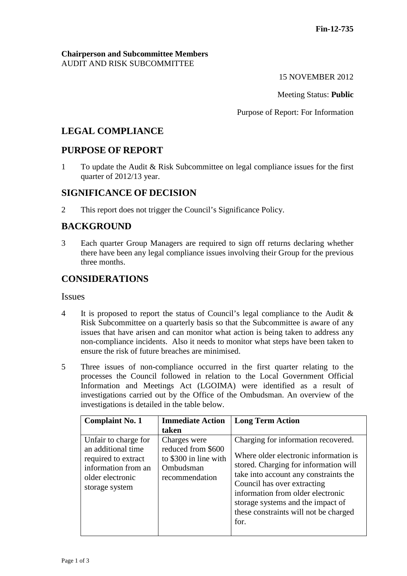#### **Chairperson and Subcommittee Members** AUDIT AND RISK SUBCOMMITTEE

15 NOVEMBER 2012

Meeting Status: **Public**

Purpose of Report: For Information

# **LEGAL COMPLIANCE**

## **PURPOSE OF REPORT**

1 To update the Audit & Risk Subcommittee on legal compliance issues for the first quarter of 2012/13 year.

## **SIGNIFICANCE OF DECISION**

2 This report does not trigger the Council's Significance Policy.

# **BACKGROUND**

3 Each quarter Group Managers are required to sign off returns declaring whether there have been any legal compliance issues involving their Group for the previous three months.

## **CONSIDERATIONS**

Issues

- 4 It is proposed to report the status of Council's legal compliance to the Audit & Risk Subcommittee on a quarterly basis so that the Subcommittee is aware of any issues that have arisen and can monitor what action is being taken to address any non-compliance incidents. Also it needs to monitor what steps have been taken to ensure the risk of future breaches are minimised.
- 5 Three issues of non-compliance occurred in the first quarter relating to the processes the Council followed in relation to the Local Government Official Information and Meetings Act (LGOIMA) were identified as a result of investigations carried out by the Office of the Ombudsman. An overview of the investigations is detailed in the table below.

| <b>Complaint No. 1</b>                                                                                                         | <b>Immediate Action</b>                                                                    | <b>Long Term Action</b>                                                                                                                                                                                                                                                                                                  |
|--------------------------------------------------------------------------------------------------------------------------------|--------------------------------------------------------------------------------------------|--------------------------------------------------------------------------------------------------------------------------------------------------------------------------------------------------------------------------------------------------------------------------------------------------------------------------|
|                                                                                                                                | taken                                                                                      |                                                                                                                                                                                                                                                                                                                          |
| Unfair to charge for<br>an additional time<br>required to extract<br>information from an<br>older electronic<br>storage system | Charges were<br>reduced from \$600<br>to \$300 in line with<br>Ombudsman<br>recommendation | Charging for information recovered.<br>Where older electronic information is<br>stored. Charging for information will<br>take into account any constraints the<br>Council has over extracting<br>information from older electronic<br>storage systems and the impact of<br>these constraints will not be charged<br>for. |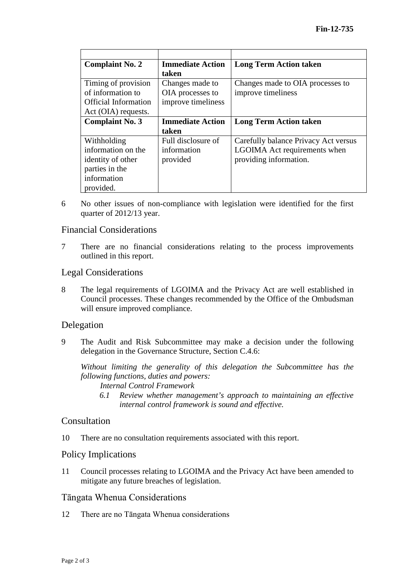| <b>Complaint No. 2</b>      | <b>Immediate Action</b> | <b>Long Term Action taken</b>        |
|-----------------------------|-------------------------|--------------------------------------|
|                             | taken                   |                                      |
| Timing of provision         | Changes made to         | Changes made to OIA processes to     |
| of information to           | OIA processes to        | improve timeliness                   |
| <b>Official Information</b> | improve timeliness      |                                      |
| Act (OIA) requests.         |                         |                                      |
| <b>Complaint No. 3</b>      | <b>Immediate Action</b> | <b>Long Term Action taken</b>        |
|                             | taken                   |                                      |
| Withholding                 | Full disclosure of      | Carefully balance Privacy Act versus |
| information on the          | information             | LGOIMA Act requirements when         |
| identity of other           | provided                | providing information.               |
| parties in the              |                         |                                      |
| information                 |                         |                                      |
| provided.                   |                         |                                      |

6 No other issues of non-compliance with legislation were identified for the first quarter of 2012/13 year.

#### Financial Considerations

7 There are no financial considerations relating to the process improvements outlined in this report.

#### Legal Considerations

8 The legal requirements of LGOIMA and the Privacy Act are well established in Council processes. These changes recommended by the Office of the Ombudsman will ensure improved compliance.

#### Delegation

9 The Audit and Risk Subcommittee may make a decision under the following delegation in the Governance Structure, Section C.4.6:

*Without limiting the generality of this delegation the Subcommittee has the following functions, duties and powers:*

*Internal Control Framework*

*6.1 Review whether management's approach to maintaining an effective internal control framework is sound and effective.*

#### Consultation

10 There are no consultation requirements associated with this report.

#### Policy Implications

11 Council processes relating to LGOIMA and the Privacy Act have been amended to mitigate any future breaches of legislation.

#### Tāngata Whenua Considerations

12 There are no Tāngata Whenua considerations